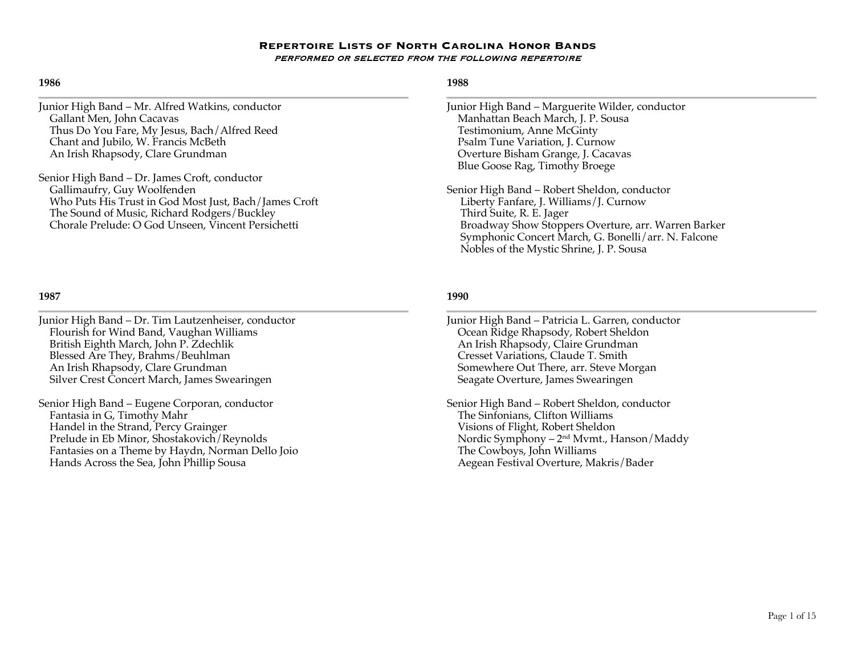### **1986**

Junior High Band – Mr. Alfred Watkins, conductor Gallant Men, John Cacavas Thus Do You Fare, My Jesus, Bach/Alfred Reed Chant and Jubilo, W. Francis McBeth An Irish Rhapsody, Clare Grundman

Senior High Band – Dr. James Croft, conductor Gallimaufry, Guy Woolfenden Who Puts His Trust in God Most Just, Bach/James Croft The Sound of Music, Richard Rodgers/Buckley Chorale Prelude: O God Unseen, Vincent Persichetti

## **1987**

Junior High Band – Dr. Tim Lautzenheiser, conductor Flourish for Wind Band, Vaughan Williams British Eighth March, John P. Zdechlik Blessed Are They, Brahms/Beuhlman An Irish Rhapsody, Clare Grundman Silver Crest Concert March, James Swearingen

Senior High Band – Eugene Corporan, conductor Fantasia in G, Timothy Mahr Handel in the Strand, Percy Grainger Prelude in Eb Minor, Shostakovich/Reynolds Fantasies on a Theme by Haydn, Norman Dello Joio Hands Across the Sea, John Phillip Sousa

# **1988**

- Junior High Band Marguerite Wilder, conductor Manhattan Beach March, J. P. Sousa Testimonium, Anne McGinty Psalm Tune Variation, J. Curnow Overture Bisham Grange, J. Cacavas Blue Goose Rag, Timothy Broege
- Senior High Band Robert Sheldon, conductor Liberty Fanfare, J. Williams/J. Curnow Third Suite, R. E. Jager Broadway Show Stoppers Overture, arr. Warren Barker Symphonic Concert March, G. Bonelli/arr. N. Falcone Nobles of the Mystic Shrine, J. P. Sousa

- Junior High Band Patricia L. Garren, conductor Ocean Ridge Rhapsody, Robert Sheldon An Irish Rhapsody, Claire Grundman Cresset Variations, Claude T. Smith Somewhere Out There, arr. Steve Morgan Seagate Overture, James Swearingen
- Senior High Band Robert Sheldon, conductor The Sinfonians, Clifton Williams Visions of Flight, Robert Sheldon Nordic Symphony – 2nd Mvmt., Hanson/Maddy The Cowboys, John Williams Aegean Festival Overture, Makris/Bader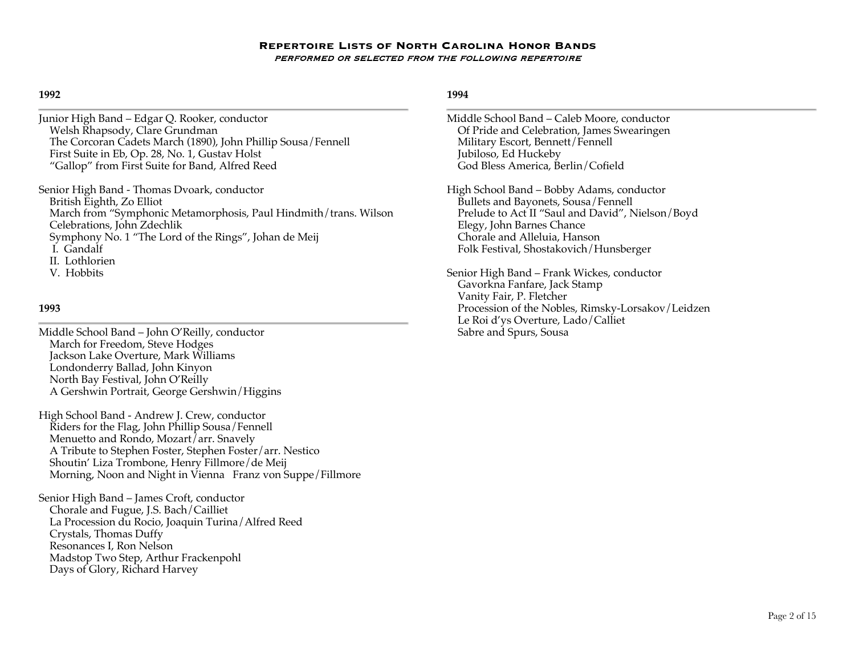#### **1992**

Junior High Band – Edgar Q. Rooker, conductor Welsh Rhapsody, Clare Grundman The Corcoran Cadets March (1890), John Phillip Sousa/Fennell First Suite in Eb, Op. 28, No. 1, Gustav Holst "Gallop" from First Suite for Band, Alfred Reed

Senior High Band - Thomas Dvoark, conductor British Eighth, Zo Elliot March from "Symphonic Metamorphosis, Paul Hindmith/trans. Wilson Celebrations, John Zdechlik Symphony No. 1 "The Lord of the Rings", Johan de Meij I. Gandalf II. Lothlorien V. Hobbits

### **1993**

Middle School Band – John O'Reilly, conductor March for Freedom, Steve Hodges Jackson Lake Overture, Mark Williams Londonderry Ballad, John Kinyon North Bay Festival, John O'Reilly A Gershwin Portrait, George Gershwin/Higgins

High School Band - Andrew J. Crew, conductor Riders for the Flag, John Phillip Sousa/Fennell Menuetto and Rondo, Mozart/arr. Snavely A Tribute to Stephen Foster, Stephen Foster/arr. Nestico Shoutin' Liza Trombone, Henry Fillmore/de Meij Morning, Noon and Night in Vienna Franz von Suppe/Fillmore

Senior High Band – James Croft, conductor Chorale and Fugue, J.S. Bach/Cailliet La Procession du Rocio, Joaquin Turina/Alfred Reed Crystals, Thomas Duffy Resonances I, Ron Nelson Madstop Two Step, Arthur Frackenpohl Days of Glory, Richard Harvey

## **1994**

Middle School Band – Caleb Moore, conductor Of Pride and Celebration, James Swearingen Military Escort, Bennett/Fennell Jubiloso, Ed Huckeby God Bless America, Berlin/Cofield

High School Band – Bobby Adams, conductor Bullets and Bayonets, Sousa/Fennell Prelude to Act II "Saul and David", Nielson/Boyd Elegy, John Barnes Chance Chorale and Alleluia, Hanson Folk Festival, Shostakovich/Hunsberger

Senior High Band – Frank Wickes, conductor Gavorkna Fanfare, Jack Stamp Vanity Fair, P. Fletcher Procession of the Nobles, Rimsky-Lorsakov/Leidzen Le Roi d'ys Overture, Lado/Calliet Sabre and Spurs, Sousa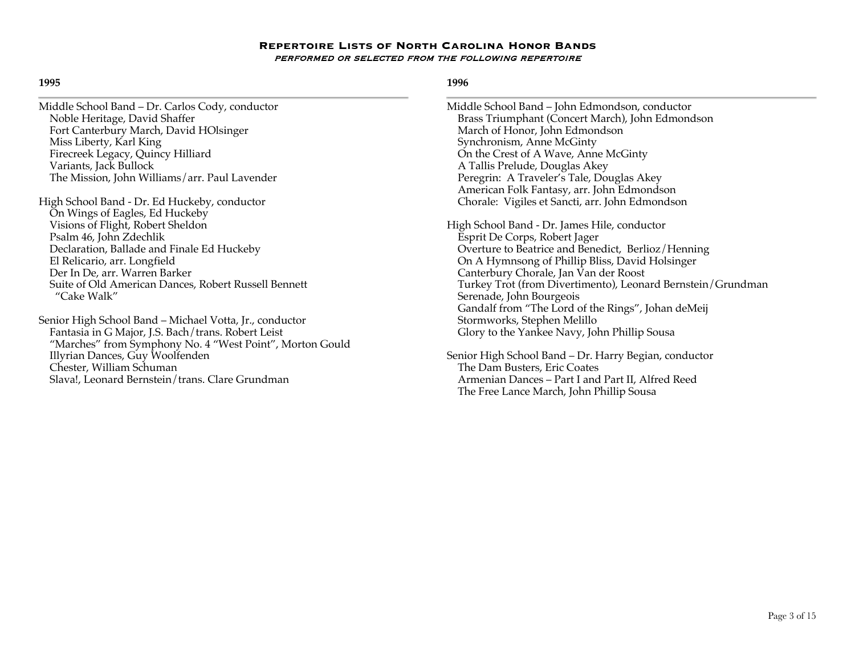### **1995**

- Middle School Band Dr. Carlos Cody, conductor Noble Heritage, David Shaffer Fort Canterbury March, David HOlsinger Miss Liberty, Karl King Firecreek Legacy, Quincy Hilliard Variants, Jack Bullock The Mission, John Williams/arr. Paul Lavender
- High School Band Dr. Ed Huckeby, conductor On Wings of Eagles, Ed Huckeby Visions of Flight, Robert Sheldon Psalm 46, John Zdechlik Declaration, Ballade and Finale Ed Huckeby El Relicario, arr. Longfield Der In De, arr. Warren Barker Suite of Old American Dances, Robert Russell Bennett "Cake Walk"

Senior High School Band – Michael Votta, Jr., conductor Fantasia in G Major, J.S. Bach/trans. Robert Leist "Marches" from Symphony No. 4 "West Point", Morton Gould Illyrian Dances, Guy Woolfenden Chester, William Schuman Slava!, Leonard Bernstein/trans. Clare Grundman

### **1996**

Middle School Band – John Edmondson, conductor Brass Triumphant (Concert March), John Edmondson March of Honor, John Edmondson Synchronism, Anne McGinty On the Crest of A Wave, Anne McGinty A Tallis Prelude, Douglas Akey Peregrin: A Traveler's Tale, Douglas Akey American Folk Fantasy, arr. John Edmondson Chorale: Vigiles et Sancti, arr. John Edmondson High School Band - Dr. James Hile, conductor Esprit De Corps, Robert Jager

Overture to Beatrice and Benedict, Berlioz/Henning On A Hymnsong of Phillip Bliss, David Holsinger Canterbury Chorale, Jan Van der Roost Turkey Trot (from Divertimento), Leonard Bernstein/Grundman Serenade, John Bourgeois Gandalf from "The Lord of the Rings", Johan deMeij Stormworks, Stephen Melillo Glory to the Yankee Navy, John Phillip Sousa

Senior High School Band – Dr. Harry Begian, conductor The Dam Busters, Eric Coates Armenian Dances – Part I and Part II, Alfred Reed The Free Lance March, John Phillip Sousa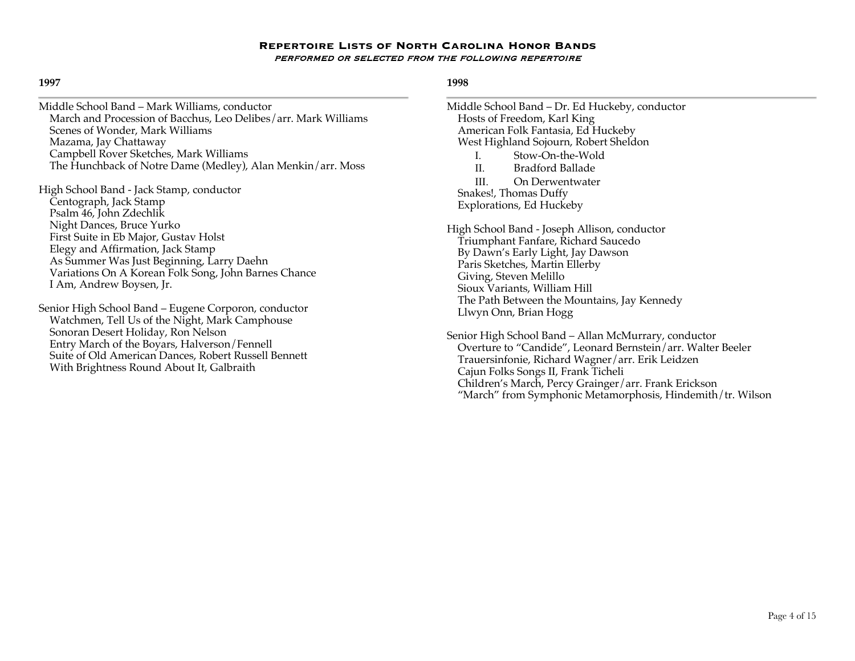### **1997**

Middle School Band – Mark Williams, conductor March and Procession of Bacchus, Leo Delibes/arr. Mark Williams Scenes of Wonder, Mark Williams Mazama, Jay Chattaway Campbell Rover Sketches, Mark Williams The Hunchback of Notre Dame (Medley), Alan Menkin/arr. Moss

High School Band - Jack Stamp, conductor Centograph, Jack Stamp Psalm 46, John Zdechlik Night Dances, Bruce Yurko First Suite in Eb Major, Gustav Holst Elegy and Affirmation, Jack Stamp As Summer Was Just Beginning, Larry Daehn Variations On A Korean Folk Song, John Barnes Chance I Am, Andrew Boysen, Jr.

Senior High School Band – Eugene Corporon, conductor Watchmen, Tell Us of the Night, Mark Camphouse Sonoran Desert Holiday, Ron Nelson Entry March of the Boyars, Halverson/Fennell Suite of Old American Dances, Robert Russell Bennett With Brightness Round About It, Galbraith

## **1998**

Middle School Band – Dr. Ed Huckeby, conductor Hosts of Freedom, Karl King American Folk Fantasia, Ed Huckeby West Highland Sojourn, Robert Sheldon I. Stow-On-the-Wold II. Bradford Ballade III. On Derwentwater Snakes!, Thomas Duffy Explorations, Ed Huckeby High School Band - Joseph Allison, conductor Triumphant Fanfare, Richard Saucedo By Dawn's Early Light, Jay Dawson Paris Sketches, Martin Ellerby Giving, Steven Melillo Sioux Variants, William Hill The Path Between the Mountains, Jay Kennedy Llwyn Onn, Brian Hogg Senior High School Band – Allan McMurrary, conductor

 Overture to "Candide", Leonard Bernstein/arr. Walter Beeler Trauersinfonie, Richard Wagner/arr. Erik Leidzen Cajun Folks Songs II, Frank Ticheli Children's March, Percy Grainger/arr. Frank Erickson "March" from Symphonic Metamorphosis, Hindemith/tr. Wilson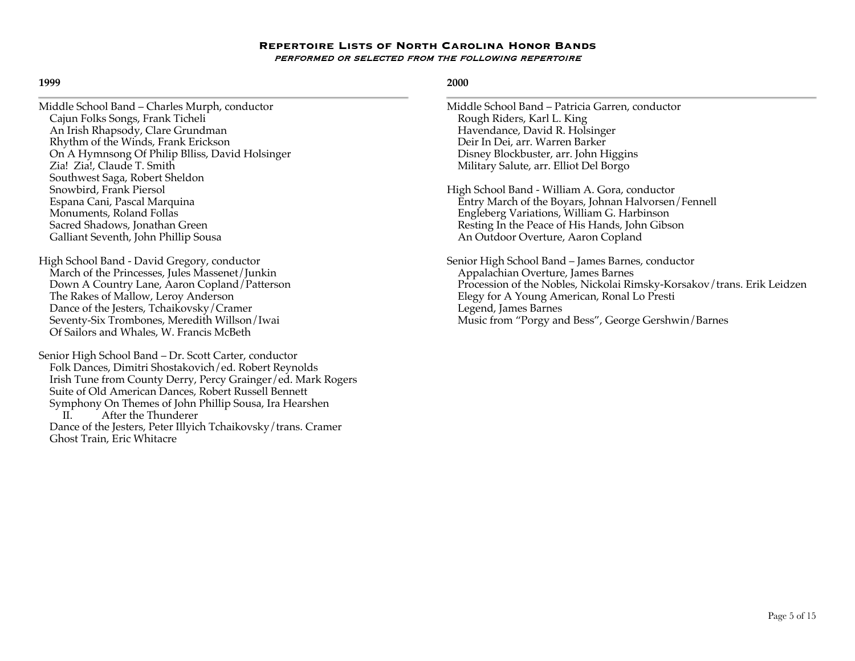#### **1999**

| Middle School Band – Charles Murph, conductor   |  |
|-------------------------------------------------|--|
| Cajun Folks Songs, Frank Ticheli                |  |
| An Irish Rhapsody, Clare Grundman               |  |
| Rhythm of the Winds, Frank Erickson             |  |
| On A Hymnsong Of Philip Blliss, David Holsinger |  |
| Zia! Zia!, Claude T. Smith                      |  |
| Southwest Saga, Robert Sheldon                  |  |
| Snowbird, Frank Piersol                         |  |
| Espana Cani, Pascal Marquina                    |  |
| Monuments, Roland Follas                        |  |
| Sacred Shadows, Jonathan Green                  |  |
| Galliant Seventh, John Phillip Sousa            |  |
|                                                 |  |

High School Band - David Gregory, conductor March of the Princesses, Jules Massenet/Junkin Down A Country Lane, Aaron Copland/Patterson The Rakes of Mallow, Leroy Anderson Dance of the Jesters, Tchaikovsky/Cramer Seventy-Six Trombones, Meredith Willson/Iwai Of Sailors and Whales, W. Francis McBeth

Senior High School Band – Dr. Scott Carter, conductor Folk Dances, Dimitri Shostakovich/ed. Robert Reynolds Irish Tune from County Derry, Percy Grainger/ed. Mark Rogers Suite of Old American Dances, Robert Russell Bennett Symphony On Themes of John Phillip Sousa, Ira Hearshen After the Thunderer Dance of the Jesters, Peter Illyich Tchaikovsky/trans. Cramer Ghost Train, Eric Whitacre

- Middle School Band Patricia Garren, conductor Rough Riders, Karl L. King Havendance, David R. Holsinger Deir In Dei, arr. Warren Barker Disney Blockbuster, arr. John Higgins Military Salute, arr. Elliot Del Borgo
- High School Band William A. Gora, conductor Entry March of the Boyars, Johnan Halvorsen/Fennell Engleberg Variations, William G. Harbinson Resting In the Peace of His Hands, John Gibson An Outdoor Overture, Aaron Copland
- Senior High School Band James Barnes, conductor Appalachian Overture, James Barnes Procession of the Nobles, Nickolai Rimsky-Korsakov/trans. Erik Leidzen Elegy for A Young American, Ronal Lo Presti Legend, James Barnes Music from "Porgy and Bess", George Gershwin/Barnes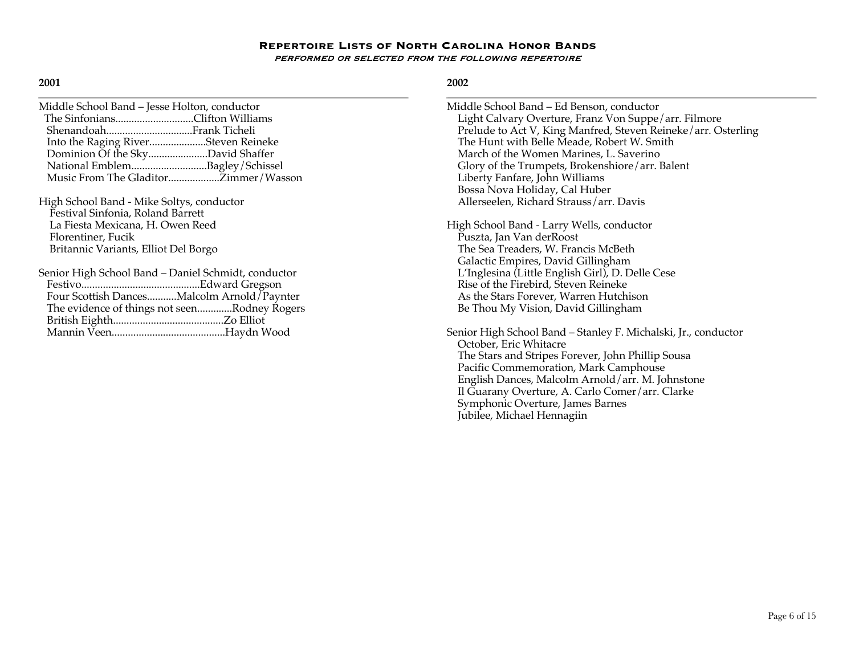### **2001**

| Middle School Band – Jesse Holton, conductor |                                      |
|----------------------------------------------|--------------------------------------|
| The SinfoniansClifton Williams               |                                      |
|                                              |                                      |
| Into the Raging RiverSteven Reineke          |                                      |
| Dominion Of the SkyDavid Shaffer             |                                      |
| National EmblemBagley/Schissel               |                                      |
|                                              | Music From The GladitorZimmer/Wasson |
|                                              |                                      |

High School Band - Mike Soltys, conductor Festival Sinfonia, Roland Barrett La Fiesta Mexicana, H. Owen Reed Florentiner, Fucik Britannic Variants, Elliot Del Borgo

| Senior High School Band – Daniel Schmidt, conductor |  |
|-----------------------------------------------------|--|
|                                                     |  |
| Four Scottish DancesMalcolm Arnold / Paynter        |  |
| The evidence of things not seenRodney Rogers        |  |
|                                                     |  |
|                                                     |  |
|                                                     |  |

## **2002**

Middle School Band – Ed Benson, conductor Light Calvary Overture, Franz Von Suppe/arr. Filmore Prelude to Act V, King Manfred, Steven Reineke/arr. Osterling The Hunt with Belle Meade, Robert W. Smith March of the Women Marines, L. Saverino Glory of the Trumpets, Brokenshiore/arr. Balent Liberty Fanfare, John Williams Bossa Nova Holiday, Cal Huber Allerseelen, Richard Strauss/arr. Davis

High School Band - Larry Wells, conductor Puszta, Jan Van derRoost The Sea Treaders, W. Francis McBeth Galactic Empires, David Gillingham L'Inglesina (Little English Girl), D. Delle Cese Rise of the Firebird, Steven Reineke As the Stars Forever, Warren Hutchison Be Thou My Vision, David Gillingham

Senior High School Band – Stanley F. Michalski, Jr., conductor October, Eric Whitacre The Stars and Stripes Forever, John Phillip Sousa Pacific Commemoration, Mark Camphouse English Dances, Malcolm Arnold/arr. M. Johnstone Il Guarany Overture, A. Carlo Comer/arr. Clarke Symphonic Overture, James Barnes Jubilee, Michael Hennagiin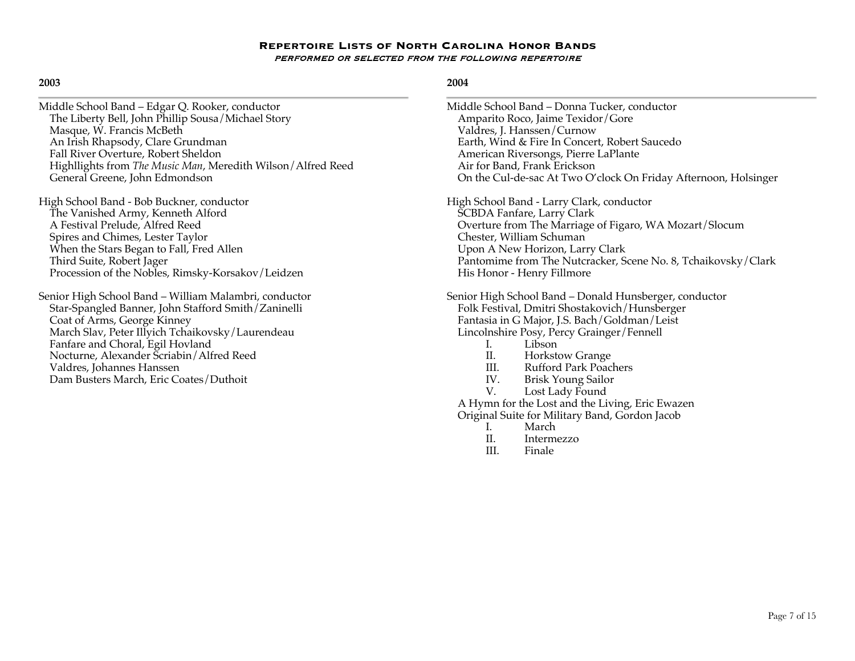## **2003**

| Middle School Band - Edgar Q. Rooker, conductor             |
|-------------------------------------------------------------|
| The Liberty Bell, John Phillip Sousa/Michael Story          |
| Masque, W. Francis McBeth                                   |
| An Irish Rhapsody, Clare Grundman                           |
| Fall River Overture, Robert Sheldon                         |
| Highllights from The Music Man, Meredith Wilson/Alfred Reed |
| General Greene, John Edmondson                              |

- High School Band Bob Buckner, conductor The Vanished Army, Kenneth Alford A Festival Prelude, Alfred Reed Spires and Chimes, Lester Taylor When the Stars Began to Fall, Fred Allen Third Suite, Robert Jager Procession of the Nobles, Rimsky-Korsakov/Leidzen
- Senior High School Band William Malambri, conductor Star-Spangled Banner, John Stafford Smith/Zaninelli Coat of Arms, George Kinney March Slav, Peter Illyich Tchaikovsky/Laurendeau Fanfare and Choral, Egil Hovland Nocturne, Alexander Scriabin/Alfred Reed Valdres, Johannes Hanssen Dam Busters March, Eric Coates/Duthoit

|    | Middle School Band - Donna Tucker, conductor                    |
|----|-----------------------------------------------------------------|
|    | Amparito Roco, Jaime Texidor/Gore                               |
|    | Valdres, J. Hanssen/Curnow                                      |
|    | Earth, Wind & Fire In Concert, Robert Saucedo                   |
|    | American Riversongs, Pierre LaPlante                            |
|    | Air for Band, Frank Erickson                                    |
|    | On the Cul-de-sac At Two O'clock On Friday Afternoon, Holsinger |
|    | High School Band - Larry Clark, conductor                       |
|    | SCBDA Fanfare, Larry Clark                                      |
|    | Overture from The Marriage of Figaro, WA Mozart/Slocum          |
|    | Chester, William Schuman                                        |
|    | Upon A New Horizon, Larry Clark                                 |
|    | Pantomime from The Nutcracker, Scene No. 8, Tchaikovsky/Clark   |
|    | His Honor - Henry Fillmore                                      |
|    | Senior High School Band - Donald Hunsberger, conductor          |
|    | Folk Festival, Dmitri Shostakovich/Hunsberger                   |
|    | Fantasia in G Major, J.S. Bach/Goldman/Leist                    |
|    | Lincolnshire Posy, Percy Grainger/Fennell                       |
|    | I. Libson                                                       |
|    | II. Horkstow Grange                                             |
|    | III. Rufford Park Poachers                                      |
|    | IV. Brisk Young Sailor                                          |
| V. | Lost Lady Found                                                 |
|    | A Hymn for the Lost and the Living, Eric Ewazen                 |
|    | Original Suite for Military Band, Gordon Jacob                  |
|    | I. March                                                        |
|    | II. Intermezzo                                                  |
|    | III. Finale                                                     |
|    |                                                                 |
|    |                                                                 |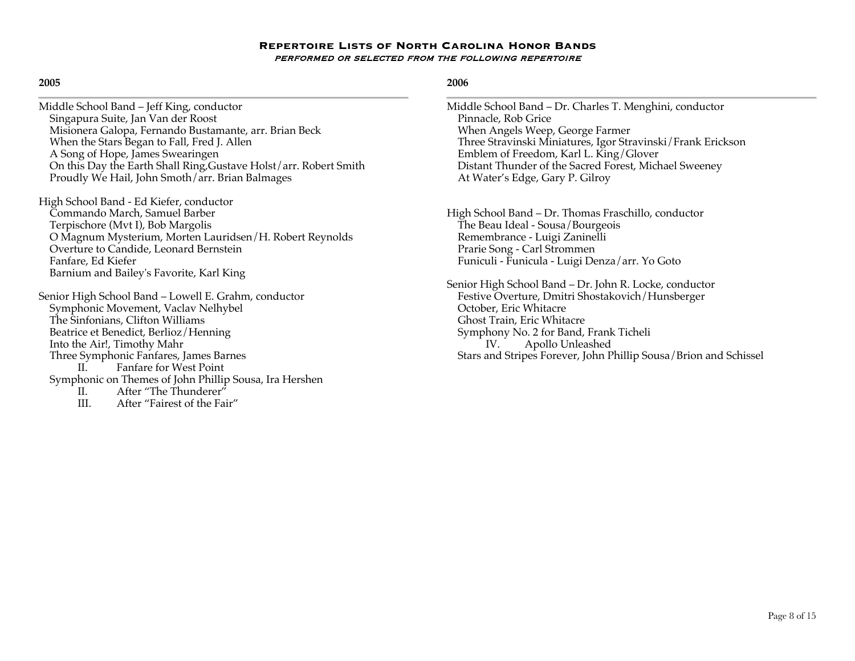### **2005**

Middle School Band – Jeff King, conductor Singapura Suite, Jan Van der Roost Misionera Galopa, Fernando Bustamante, arr. Brian Beck When the Stars Began to Fall, Fred J. Allen A Song of Hope, James Swearingen On this Day the Earth Shall Ring,Gustave Holst/arr. Robert Smith Proudly We Hail, John Smoth/arr. Brian Balmages

High School Band - Ed Kiefer, conductor Commando March, Samuel Barber Terpischore (Mvt I), Bob Margolis O Magnum Mysterium, Morten Lauridsen/H. Robert Reynolds Overture to Candide, Leonard Bernstein Fanfare, Ed Kiefer Barnium and Bailey's Favorite, Karl King

Senior High School Band – Lowell E. Grahm, conductor Symphonic Movement, Vaclav Nelhybel The Sinfonians, Clifton Williams Beatrice et Benedict, Berlioz/Henning Into the Air!, Timothy Mahr Three Symphonic Fanfares, James Barnes II. Fanfare for West Point Symphonic on Themes of John Phillip Sousa, Ira Hershen II. After "The Thunderer"

III. After "Fairest of the Fair"

## **2006**

Middle School Band – Dr. Charles T. Menghini, conductor Pinnacle, Rob Grice When Angels Weep, George Farmer Three Stravinski Miniatures, Igor Stravinski/Frank Erickson Emblem of Freedom, Karl L. King/Glover Distant Thunder of the Sacred Forest, Michael Sweeney At Water's Edge, Gary P. Gilroy

High School Band – Dr. Thomas Fraschillo, conductor The Beau Ideal - Sousa/Bourgeois Remembrance - Luigi Zaninelli Prarie Song - Carl Strommen Funiculi - Funicula - Luigi Denza/arr. Yo Goto

Senior High School Band – Dr. John R. Locke, conductor Festive Overture, Dmitri Shostakovich/Hunsberger October, Eric Whitacre Ghost Train, Eric Whitacre Symphony No. 2 for Band, Frank Ticheli IV. Apollo Unleashed Stars and Stripes Forever, John Phillip Sousa/Brion and Schissel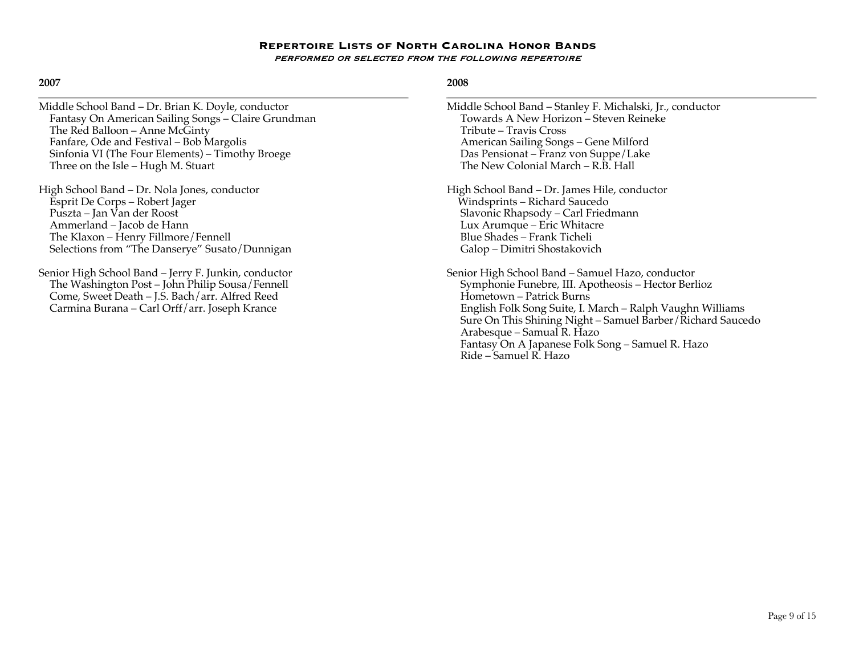# **2007**

| Middle School Band - Dr. Brian K. Doyle, conductor                                                                                                                                                         | Middle School Band - Stanley F. Michalski, Jr., conductor                                                                                                                                                                                                        |
|------------------------------------------------------------------------------------------------------------------------------------------------------------------------------------------------------------|------------------------------------------------------------------------------------------------------------------------------------------------------------------------------------------------------------------------------------------------------------------|
| Fantasy On American Sailing Songs - Claire Grundman                                                                                                                                                        | Towards A New Horizon - Steven Reineke                                                                                                                                                                                                                           |
| The Red Balloon - Anne McGinty                                                                                                                                                                             | Tribute - Travis Cross                                                                                                                                                                                                                                           |
| Fanfare, Ode and Festival - Bob Margolis                                                                                                                                                                   | American Sailing Songs - Gene Milford                                                                                                                                                                                                                            |
| Sinfonia VI (The Four Elements) - Timothy Broege                                                                                                                                                           | Das Pensionat – Franz von Suppe/Lake                                                                                                                                                                                                                             |
| Three on the Isle - Hugh M. Stuart                                                                                                                                                                         | The New Colonial March – R.B. Hall                                                                                                                                                                                                                               |
| High School Band – Dr. Nola Jones, conductor                                                                                                                                                               | High School Band - Dr. James Hile, conductor                                                                                                                                                                                                                     |
| Esprit De Corps – Robert Jager                                                                                                                                                                             | Windsprints - Richard Saucedo                                                                                                                                                                                                                                    |
| Puszta – Jan Van der Roost                                                                                                                                                                                 | Slavonic Rhapsody - Carl Friedmann                                                                                                                                                                                                                               |
| Ammerland - Jacob de Hann                                                                                                                                                                                  | Lux Arumque – Eric Whitacre                                                                                                                                                                                                                                      |
| The Klaxon - Henry Fillmore / Fennell                                                                                                                                                                      | Blue Shades - Frank Ticheli                                                                                                                                                                                                                                      |
| Selections from "The Danserye" Susato / Dunnigan                                                                                                                                                           | Galop - Dimitri Shostakovich                                                                                                                                                                                                                                     |
| Senior High School Band – Jerry F. Junkin, conductor<br>The Washington Post - John Philip Sousa/Fennell<br>Come, Sweet Death - J.S. Bach/arr. Alfred Reed<br>Carmina Burana – Carl Orff/arr. Joseph Krance | Senior High School Band – Samuel Hazo, conductor<br>Symphonie Funebre, III. Apotheosis - Hector Berlioz<br>Hometown - Patrick Burns<br>English Folk Song Suite, I. March - Ralph Vaughn Williams<br>Sure On This Shining Night - Samuel Barber / Richard Saucedo |

## **2008**

Arabesque – Samual R. Hazo

Ride – Samuel R. Hazo

Fantasy On A Japanese Folk Song – Samuel R. Hazo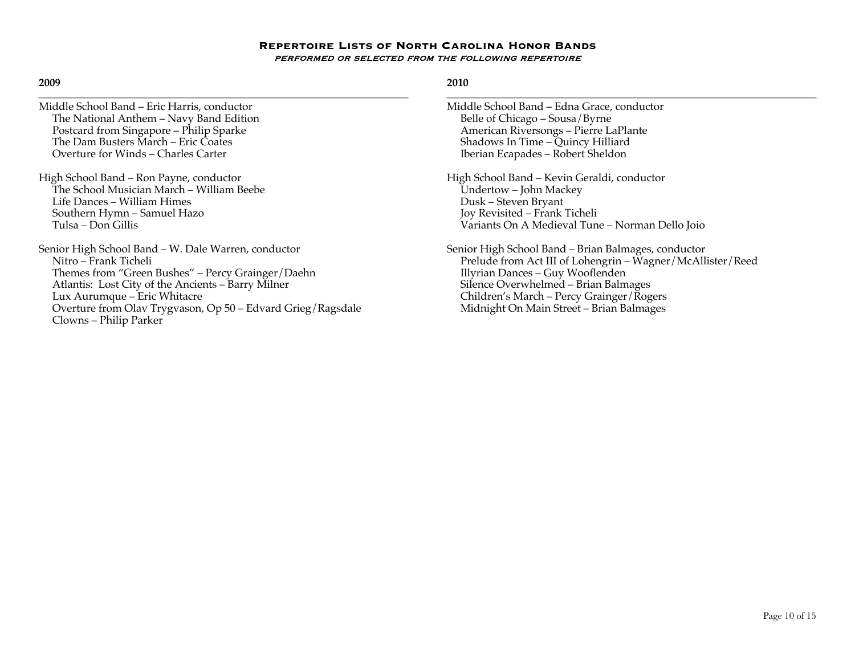### **2009**

- Middle School Band Eric Harris, conductor The National Anthem – Navy Band Edition Postcard from Singapore – Philip Sparke The Dam Busters March – Eric Coates Overture for Winds – Charles Carter
- High School Band Ron Payne, conductor The School Musician March – William Beebe Life Dances – William Himes Southern Hymn – Samuel Hazo Tulsa – Don Gillis

Senior High School Band – W. Dale Warren, conductor Nitro – Frank Ticheli Themes from "Green Bushes" – Percy Grainger/Daehn Atlantis: Lost City of the Ancients – Barry Milner Lux Aurumque – Eric Whitacre Overture from Olav Trygvason, Op 50 – Edvard Grieg/Ragsdale Clowns – Philip Parker

- Middle School Band Edna Grace, conductor Belle of Chicago – Sousa/Byrne American Riversongs – Pierre LaPlante Shadows In Time – Quincy Hilliard Iberian Ecapades – Robert Sheldon
- High School Band Kevin Geraldi, conductor Undertow – John Mackey Dusk – Steven Bryant Joy Revisited – Frank Ticheli Variants On A Medieval Tune – Norman Dello Joio
- Senior High School Band Brian Balmages, conductor Prelude from Act III of Lohengrin – Wagner/McAllister/Reed Illyrian Dances – Guy Wooflenden Silence Overwhelmed – Brian Balmages Children's March – Percy Grainger/Rogers Midnight On Main Street – Brian Balmages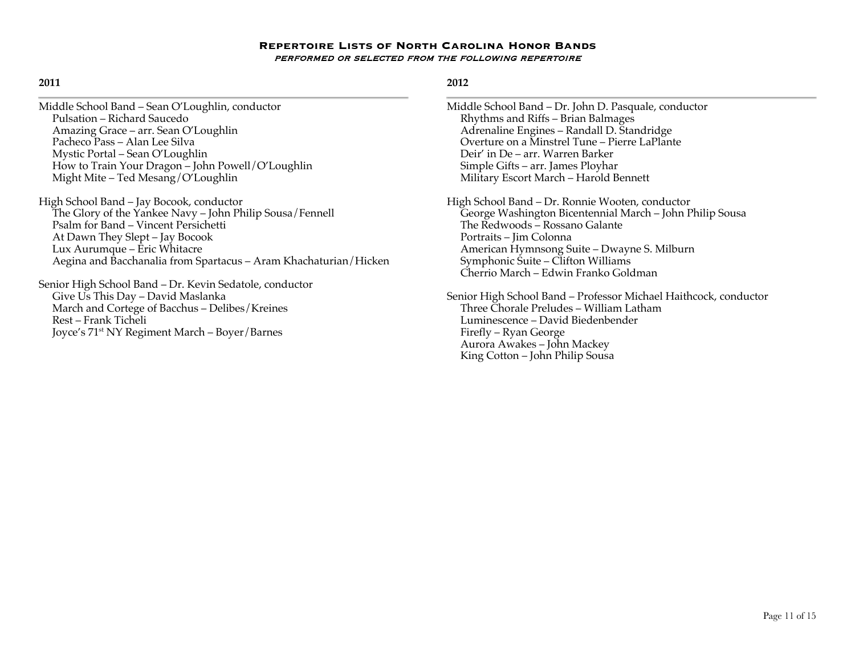## **2011**

| Middle School Band – Sean O'Loughlin, conductor   |  |
|---------------------------------------------------|--|
| Pulsation – Richard Saucedo                       |  |
| Amazing Grace – arr. Sean O'Loughlin              |  |
| Pacheco Pass - Alan Lee Silva                     |  |
| Mystic Portal – Sean O'Loughlin                   |  |
| How to Train Your Dragon - John Powell/O'Loughlin |  |
| Might Mite - Ted Mesang/O'Loughlin                |  |

High School Band – Jay Bocook, conductor The Glory of the Yankee Navy – John Philip Sousa/Fennell Psalm for Band – Vincent Persichetti At Dawn They Slept – Jay Bocook Lux Aurumque – Eric Whitacre Aegina and Bacchanalia from Spartacus – Aram Khachaturian/Hicken

Senior High School Band – Dr. Kevin Sedatole, conductor Give Us This Day – David Maslanka March and Cortege of Bacchus – Delibes/Kreines Rest – Frank Ticheli Joyce's 71st NY Regiment March – Boyer/Barnes

# **2012**

Middle School Band – Dr. John D. Pasquale, conductor Rhythms and Riffs – Brian Balmages Adrenaline Engines – Randall D. Standridge Overture on a Minstrel Tune – Pierre LaPlante Deir' in De – arr. Warren Barker Simple Gifts – arr. James Ployhar Military Escort March – Harold Bennett

High School Band – Dr. Ronnie Wooten, conductor George Washington Bicentennial March – John Philip Sousa The Redwoods – Rossano Galante Portraits – Jim Colonna American Hymnsong Suite – Dwayne S. Milburn Symphonic Suite – Clifton Williams Cherrio March – Edwin Franko Goldman

Senior High School Band – Professor Michael Haithcock, conductor Three Chorale Preludes – William Latham Luminescence – David Biedenbender Firefly – Ryan George Aurora Awakes – John Mackey King Cotton – John Philip Sousa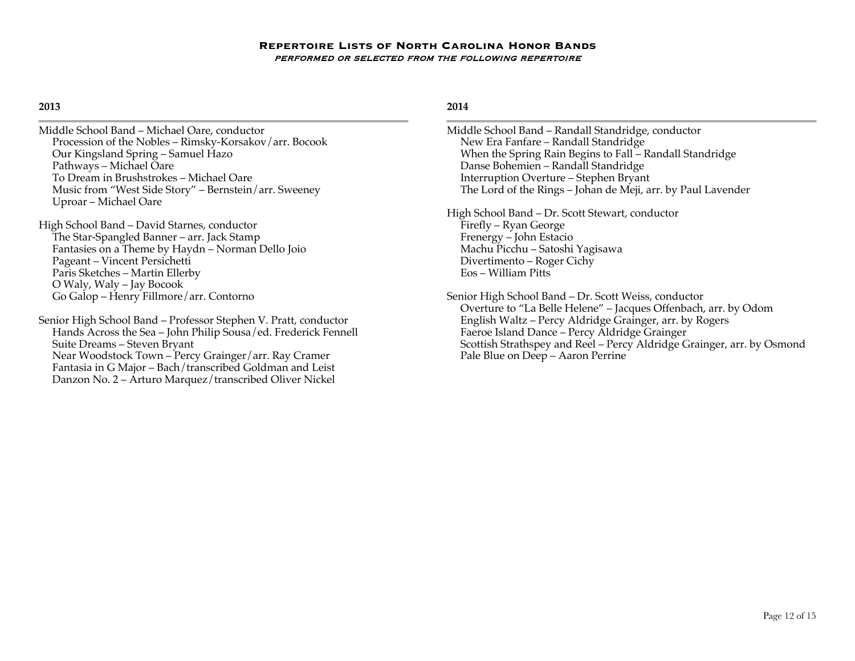## **2013**

Middle School Band – Michael Oare, conductor Procession of the Nobles – Rimsky-Korsakov/arr. Bocook Our Kingsland Spring – Samuel Hazo Pathways – Michael Oare To Dream in Brushstrokes – Michael Oare Music from "West Side Story" – Bernstein/arr. Sweeney Uproar – Michael Oare

High School Band – David Starnes, conductor The Star-Spangled Banner – arr. Jack Stamp Fantasies on a Theme by Haydn – Norman Dello Joio Pageant – Vincent Persichetti Paris Sketches – Martin Ellerby O Waly, Waly – Jay Bocook Go Galop – Henry Fillmore/arr. Contorno

Senior High School Band – Professor Stephen V. Pratt, conductor Hands Across the Sea – John Philip Sousa/ed. Frederick Fennell Suite Dreams – Steven Bryant Near Woodstock Town – Percy Grainger/arr. Ray Cramer Fantasia in G Major – Bach/transcribed Goldman and Leist Danzon No. 2 – Arturo Marquez/transcribed Oliver Nickel

# **2014**

Middle School Band – Randall Standridge, conductor New Era Fanfare – Randall Standridge When the Spring Rain Begins to Fall – Randall Standridge Danse Bohemien – Randall Standridge Interruption Overture – Stephen Bryant The Lord of the Rings – Johan de Meji, arr. by Paul Lavender

High School Band – Dr. Scott Stewart, conductor Firefly – Ryan George Frenergy – John Estacio Machu Picchu – Satoshi Yagisawa Divertimento – Roger Cichy Eos – William Pitts

Senior High School Band – Dr. Scott Weiss, conductor Overture to "La Belle Helene" – Jacques Offenbach, arr. by Odom English Waltz – Percy Aldridge Grainger, arr. by Rogers Faeroe Island Dance – Percy Aldridge Grainger Scottish Strathspey and Reel – Percy Aldridge Grainger, arr. by Osmond Pale Blue on Deep – Aaron Perrine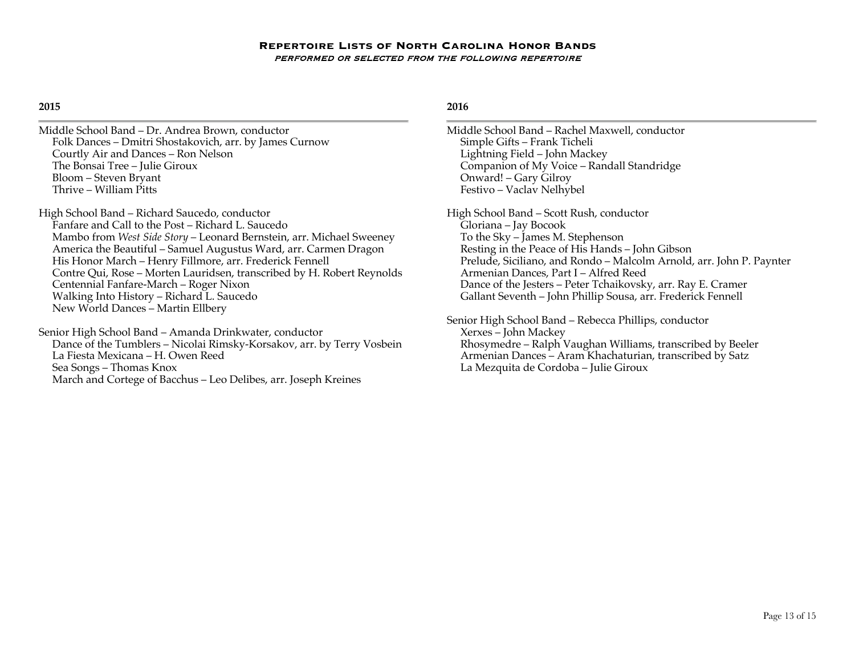## **2015**

Middle School Band – Dr. Andrea Brown, conductor Folk Dances – Dmitri Shostakovich, arr. by James Curnow Courtly Air and Dances – Ron Nelson The Bonsai Tree – Julie Giroux Bloom – Steven Bryant Thrive – William Pitts

High School Band – Richard Saucedo, conductor Fanfare and Call to the Post – Richard L. Saucedo Mambo from *West Side Story* – Leonard Bernstein, arr. Michael Sweeney America the Beautiful – Samuel Augustus Ward, arr. Carmen Dragon His Honor March – Henry Fillmore, arr. Frederick Fennell Contre Qui, Rose – Morten Lauridsen, transcribed by H. Robert Reynolds Centennial Fanfare-March – Roger Nixon Walking Into History – Richard L. Saucedo New World Dances – Martin Ellbery

Senior High School Band – Amanda Drinkwater, conductor Dance of the Tumblers – Nicolai Rimsky-Korsakov, arr. by Terry Vosbein La Fiesta Mexicana – H. Owen Reed Sea Songs – Thomas Knox March and Cortege of Bacchus – Leo Delibes, arr. Joseph Kreines

## **2016**

Middle School Band – Rachel Maxwell, conductor Simple Gifts – Frank Ticheli Lightning Field – John Mackey Companion of My Voice – Randall Standridge Onward! – Gary Gilroy Festivo – Vaclav Nelhybel

High School Band – Scott Rush, conductor Gloriana – Jay Bocook To the Sky – James M. Stephenson Resting in the Peace of His Hands – John Gibson Prelude, Siciliano, and Rondo – Malcolm Arnold, arr. John P. Paynter Armenian Dances, Part I – Alfred Reed Dance of the Jesters – Peter Tchaikovsky, arr. Ray E. Cramer Gallant Seventh – John Phillip Sousa, arr. Frederick Fennell

Senior High School Band – Rebecca Phillips, conductor Xerxes – John Mackey Rhosymedre – Ralph Vaughan Williams, transcribed by Beeler Armenian Dances – Aram Khachaturian, transcribed by Satz La Mezquita de Cordoba – Julie Giroux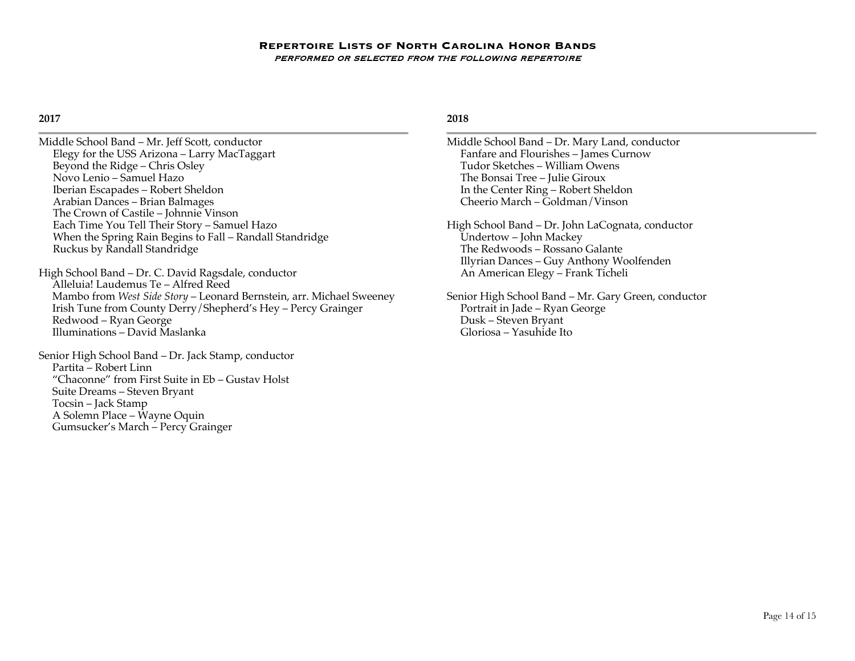### **2017**

Middle School Band – Mr. Jeff Scott, conductor Elegy for the USS Arizona – Larry MacTaggart Beyond the Ridge – Chris Osley Novo Lenio – Samuel Hazo Iberian Escapades – Robert Sheldon Arabian Dances – Brian Balmages The Crown of Castile – Johnnie Vinson Each Time You Tell Their Story – Samuel Hazo When the Spring Rain Begins to Fall – Randall Standridge Ruckus by Randall Standridge High School Band – Dr. C. David Ragsdale, conductor Alleluia! Laudemus Te – Alfred Reed Mambo from *West Side Story* – Leonard Bernstein, arr. Michael Sweeney Irish Tune from County Derry/Shepherd's Hey – Percy Grainger Redwood – Ryan George Illuminations – David Maslanka Senior High School Band – Dr. Jack Stamp, conductor Partita – Robert Linn "Chaconne" from First Suite in Eb – Gustav Holst Suite Dreams – Steven Bryant Tocsin – Jack Stamp A Solemn Place – Wayne Oquin

Gumsucker's March – Percy Grainger

### **2018**

Middle School Band – Dr. Mary Land, conductor Fanfare and Flourishes – James Curnow Tudor Sketches – William Owens The Bonsai Tree – Julie Giroux In the Center Ring – Robert Sheldon Cheerio March – Goldman/Vinson

High School Band – Dr. John LaCognata, conductor Undertow – John Mackey The Redwoods – Rossano Galante Illyrian Dances – Guy Anthony Woolfenden An American Elegy – Frank Ticheli

Senior High School Band – Mr. Gary Green, conductor Portrait in Jade – Ryan George Dusk – Steven Bryant Gloriosa – Yasuhide Ito